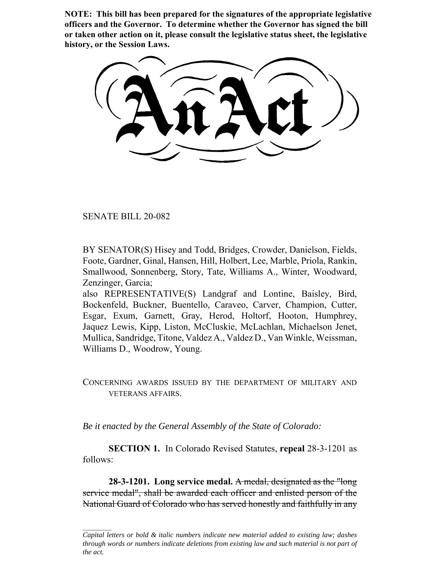**NOTE: This bill has been prepared for the signatures of the appropriate legislative officers and the Governor. To determine whether the Governor has signed the bill or taken other action on it, please consult the legislative status sheet, the legislative history, or the Session Laws.**

SENATE BILL 20-082

BY SENATOR(S) Hisey and Todd, Bridges, Crowder, Danielson, Fields, Foote, Gardner, Ginal, Hansen, Hill, Holbert, Lee, Marble, Priola, Rankin, Smallwood, Sonnenberg, Story, Tate, Williams A., Winter, Woodward, Zenzinger, Garcia;

also REPRESENTATIVE(S) Landgraf and Lontine, Baisley, Bird, Bockenfeld, Buckner, Buentello, Caraveo, Carver, Champion, Cutter, Esgar, Exum, Garnett, Gray, Herod, Holtorf, Hooton, Humphrey, Jaquez Lewis, Kipp, Liston, McCluskie, McLachlan, Michaelson Jenet, Mullica, Sandridge, Titone, Valdez A., Valdez D., Van Winkle, Weissman, Williams D., Woodrow, Young.

CONCERNING AWARDS ISSUED BY THE DEPARTMENT OF MILITARY AND VETERANS AFFAIRS.

*Be it enacted by the General Assembly of the State of Colorado:*

**SECTION 1.** In Colorado Revised Statutes, **repeal** 28-3-1201 as follows:

**28-3-1201. Long service medal.** A medal, designated as the "long service medal", shall be awarded each officer and enlisted person of the National Guard of Colorado who has served honestly and faithfully in any

*Capital letters or bold & italic numbers indicate new material added to existing law; dashes through words or numbers indicate deletions from existing law and such material is not part of the act.*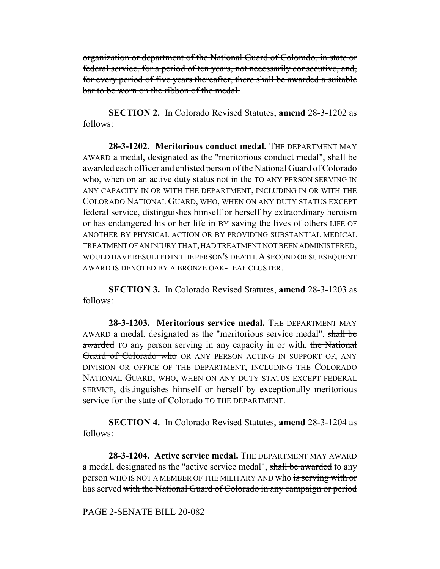organization or department of the National Guard of Colorado, in state or federal service, for a period of ten years, not necessarily consecutive, and, for every period of five years thereafter, there shall be awarded a suitable bar to be worn on the ribbon of the medal.

**SECTION 2.** In Colorado Revised Statutes, **amend** 28-3-1202 as follows:

**28-3-1202. Meritorious conduct medal.** THE DEPARTMENT MAY AWARD a medal, designated as the "meritorious conduct medal", shall be awarded each officer and enlisted person of the National Guard of Colorado who, when on an active duty status not in the TO ANY PERSON SERVING IN ANY CAPACITY IN OR WITH THE DEPARTMENT, INCLUDING IN OR WITH THE COLORADO NATIONAL GUARD, WHO, WHEN ON ANY DUTY STATUS EXCEPT federal service, distinguishes himself or herself by extraordinary heroism or has endangered his or her life in BY saving the lives of others LIFE OF ANOTHER BY PHYSICAL ACTION OR BY PROVIDING SUBSTANTIAL MEDICAL TREATMENT OF AN INJURY THAT, HAD TREATMENT NOT BEEN ADMINISTERED, WOULD HAVE RESULTED IN THE PERSON'S DEATH. A SECOND OR SUBSEQUENT AWARD IS DENOTED BY A BRONZE OAK-LEAF CLUSTER.

**SECTION 3.** In Colorado Revised Statutes, **amend** 28-3-1203 as follows:

**28-3-1203. Meritorious service medal.** THE DEPARTMENT MAY AWARD a medal, designated as the "meritorious service medal", shall be awarded TO any person serving in any capacity in or with, the National Guard of Colorado who OR ANY PERSON ACTING IN SUPPORT OF, ANY DIVISION OR OFFICE OF THE DEPARTMENT, INCLUDING THE COLORADO NATIONAL GUARD, WHO, WHEN ON ANY DUTY STATUS EXCEPT FEDERAL SERVICE, distinguishes himself or herself by exceptionally meritorious service for the state of Colorado TO THE DEPARTMENT.

**SECTION 4.** In Colorado Revised Statutes, **amend** 28-3-1204 as follows:

**28-3-1204. Active service medal.** THE DEPARTMENT MAY AWARD a medal, designated as the "active service medal", shall be awarded to any person WHO IS NOT A MEMBER OF THE MILITARY AND who is serving with or has served with the National Guard of Colorado in any campaign or period

PAGE 2-SENATE BILL 20-082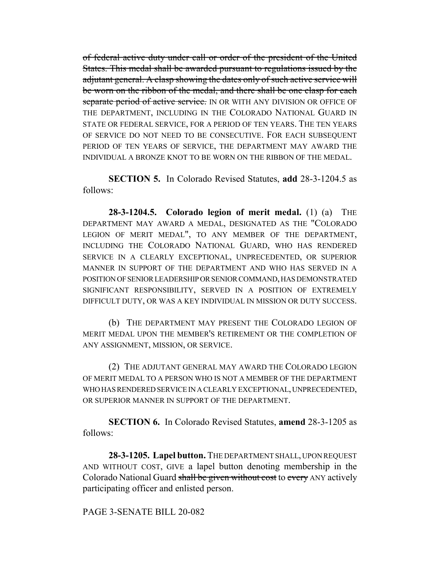of federal active duty under call or order of the president of the United States. This medal shall be awarded pursuant to regulations issued by the adjutant general. A clasp showing the dates only of such active service will be worn on the ribbon of the medal, and there shall be one clasp for each separate period of active service. IN OR WITH ANY DIVISION OR OFFICE OF THE DEPARTMENT, INCLUDING IN THE COLORADO NATIONAL GUARD IN STATE OR FEDERAL SERVICE, FOR A PERIOD OF TEN YEARS. THE TEN YEARS OF SERVICE DO NOT NEED TO BE CONSECUTIVE. FOR EACH SUBSEQUENT PERIOD OF TEN YEARS OF SERVICE, THE DEPARTMENT MAY AWARD THE INDIVIDUAL A BRONZE KNOT TO BE WORN ON THE RIBBON OF THE MEDAL.

**SECTION 5.** In Colorado Revised Statutes, **add** 28-3-1204.5 as follows:

**28-3-1204.5. Colorado legion of merit medal.** (1) (a) THE DEPARTMENT MAY AWARD A MEDAL, DESIGNATED AS THE "COLORADO LEGION OF MERIT MEDAL", TO ANY MEMBER OF THE DEPARTMENT, INCLUDING THE COLORADO NATIONAL GUARD, WHO HAS RENDERED SERVICE IN A CLEARLY EXCEPTIONAL, UNPRECEDENTED, OR SUPERIOR MANNER IN SUPPORT OF THE DEPARTMENT AND WHO HAS SERVED IN A POSITION OF SENIOR LEADERSHIP OR SENIOR COMMAND, HAS DEMONSTRATED SIGNIFICANT RESPONSIBILITY, SERVED IN A POSITION OF EXTREMELY DIFFICULT DUTY, OR WAS A KEY INDIVIDUAL IN MISSION OR DUTY SUCCESS.

(b) THE DEPARTMENT MAY PRESENT THE COLORADO LEGION OF MERIT MEDAL UPON THE MEMBER'S RETIREMENT OR THE COMPLETION OF ANY ASSIGNMENT, MISSION, OR SERVICE.

(2) THE ADJUTANT GENERAL MAY AWARD THE COLORADO LEGION OF MERIT MEDAL TO A PERSON WHO IS NOT A MEMBER OF THE DEPARTMENT WHO HAS RENDERED SERVICE IN A CLEARLY EXCEPTIONAL, UNPRECEDENTED, OR SUPERIOR MANNER IN SUPPORT OF THE DEPARTMENT.

**SECTION 6.** In Colorado Revised Statutes, **amend** 28-3-1205 as follows:

**28-3-1205. Lapel button.** THE DEPARTMENT SHALL, UPON REQUEST AND WITHOUT COST, GIVE a lapel button denoting membership in the Colorado National Guard shall be given without cost to every ANY actively participating officer and enlisted person.

PAGE 3-SENATE BILL 20-082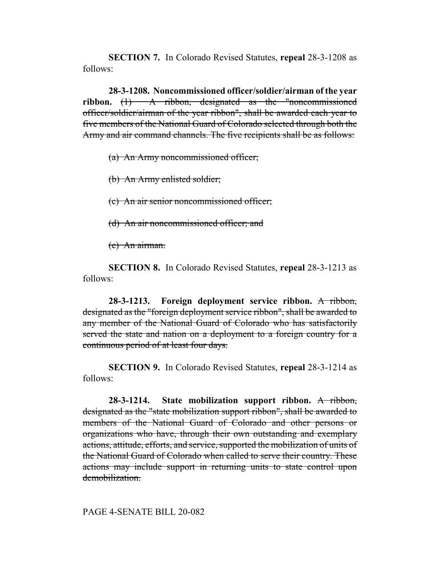**SECTION 7.** In Colorado Revised Statutes, **repeal** 28-3-1208 as follows:

**28-3-1208. Noncommissioned officer/soldier/airman of the year ribbon.** (1) A ribbon, designated as the "noncommissioned officer/soldier/airman of the year ribbon", shall be awarded each year to five members of the National Guard of Colorado selected through both the Army and air command channels. The five recipients shall be as follows:

(a) An Army noncommissioned officer;

(b) An Army enlisted soldier;

(c) An air senior noncommissioned officer;

(d) An air noncommissioned officer; and

(e) An airman.

**SECTION 8.** In Colorado Revised Statutes, **repeal** 28-3-1213 as follows:

**28-3-1213. Foreign deployment service ribbon.** A ribbon, designated as the "foreign deployment service ribbon", shall be awarded to any member of the National Guard of Colorado who has satisfactorily served the state and nation on a deployment to a foreign country for a continuous period of at least four days.

**SECTION 9.** In Colorado Revised Statutes, **repeal** 28-3-1214 as follows:

**28-3-1214. State mobilization support ribbon.** A ribbon, designated as the "state mobilization support ribbon", shall be awarded to members of the National Guard of Colorado and other persons or organizations who have, through their own outstanding and exemplary actions, attitude, efforts, and service, supported the mobilization of units of the National Guard of Colorado when called to serve their country. These actions may include support in returning units to state control upon demobilization.

## PAGE 4-SENATE BILL 20-082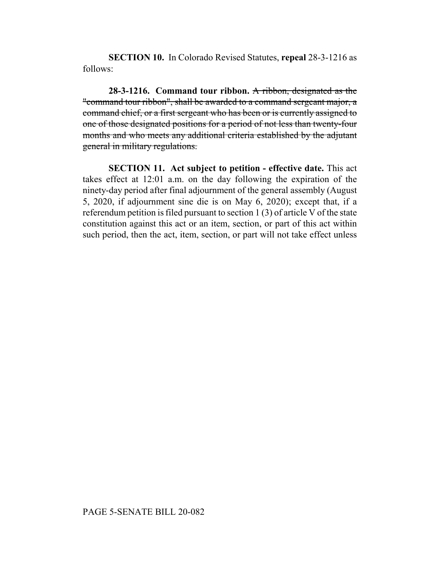**SECTION 10.** In Colorado Revised Statutes, **repeal** 28-3-1216 as follows:

**28-3-1216. Command tour ribbon.** A ribbon, designated as the "command tour ribbon", shall be awarded to a command sergeant major, a command chief, or a first sergeant who has been or is currently assigned to one of those designated positions for a period of not less than twenty-four months and who meets any additional criteria established by the adjutant general in military regulations.

**SECTION 11. Act subject to petition - effective date.** This act takes effect at 12:01 a.m. on the day following the expiration of the ninety-day period after final adjournment of the general assembly (August 5, 2020, if adjournment sine die is on May 6, 2020); except that, if a referendum petition is filed pursuant to section 1 (3) of article V of the state constitution against this act or an item, section, or part of this act within such period, then the act, item, section, or part will not take effect unless